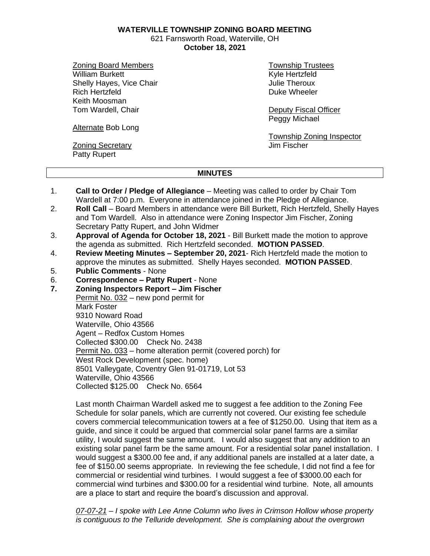**WATERVILLE TOWNSHIP ZONING BOARD MEETING**

621 Farnsworth Road, Waterville, OH **October 18, 2021**

Zoning Board Members William Burkett Shelly Hayes, Vice Chair Rich Hertzfeld Keith Moosman Tom Wardell, Chair

Township Trustees Kyle Hertzfeld Julie Theroux Duke Wheeler

Deputy Fiscal Officer Peggy Michael

Alternate Bob Long

Zoning Secretary Patty Rupert

Township Zoning Inspector Jim Fischer

## **MINUTES**

- 1. **Call to Order / Pledge of Allegiance** Meeting was called to order by Chair Tom Wardell at 7:00 p.m. Everyone in attendance joined in the Pledge of Allegiance.
- 2. **Roll Call** Board Members in attendance were Bill Burkett, Rich Hertzfeld, Shelly Hayes and Tom Wardell. Also in attendance were Zoning Inspector Jim Fischer, Zoning Secretary Patty Rupert, and John Widmer
- 3. **Approval of Agenda for October 18, 2021** Bill Burkett made the motion to approve the agenda as submitted. Rich Hertzfeld seconded. **MOTION PASSED**.
- 4. **Review Meeting Minutes – September 20, 2021** Rich Hertzfeld made the motion to approve the minutes as submitted. Shelly Hayes seconded. **MOTION PASSED**.
- 5. **Public Comments** None
- 6. **Correspondence – Patty Rupert** None
- **7. Zoning Inspectors Report – Jim Fischer**

Permit No. 032 – new pond permit for Mark Foster 9310 Noward Road Waterville, Ohio 43566 Agent – Redfox Custom Homes Collected \$300.00 Check No. 2438 Permit No. 033 – home alteration permit (covered porch) for West Rock Development (spec. home) 8501 Valleygate, Coventry Glen 91-01719, Lot 53 Waterville, Ohio 43566 Collected \$125.00 Check No. 6564

Last month Chairman Wardell asked me to suggest a fee addition to the Zoning Fee Schedule for solar panels, which are currently not covered. Our existing fee schedule covers commercial telecommunication towers at a fee of \$1250.00. Using that item as a guide, and since it could be argued that commercial solar panel farms are a similar utility, I would suggest the same amount. I would also suggest that any addition to an existing solar panel farm be the same amount. For a residential solar panel installation. I would suggest a \$300.00 fee and, if any additional panels are installed at a later date, a fee of \$150.00 seems appropriate. In reviewing the fee schedule, I did not find a fee for commercial or residential wind turbines. I would suggest a fee of \$3000.00 each for commercial wind turbines and \$300.00 for a residential wind turbine. Note, all amounts are a place to start and require the board's discussion and approval.

*07-07-21 – I spoke with Lee Anne Column who lives in Crimson Hollow whose property is contiguous to the Telluride development. She is complaining about the overgrown*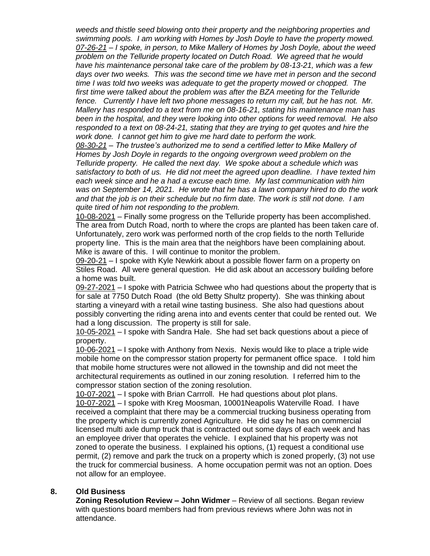*weeds and thistle seed blowing onto their property and the neighboring properties and swimming pools. I am working with Homes by Josh Doyle to have the property mowed. 07-26-21 – I spoke, in person, to Mike Mallery of Homes by Josh Doyle, about the weed problem on the Telluride property located on Dutch Road. We agreed that he would have his maintenance personal take care of the problem by 08-13-21, which was a few days over two weeks. This was the second time we have met in person and the second time I was told two weeks was adequate to get the property mowed or chopped. The*  first time were talked about the problem was after the BZA meeting for the Telluride *fence. Currently I have left two phone messages to return my call, but he has not. Mr. Mallery has responded to a text from me on 08-16-21, stating his maintenance man has been in the hospital, and they were looking into other options for weed removal. He also responded to a text on 08-24-21, stating that they are trying to get quotes and hire the work done. I cannot get him to give me hard date to perform the work.*

*08-30-21 – The trustee's authorized me to send a certified letter to Mike Mallery of Homes by Josh Doyle in regards to the ongoing overgrown weed problem on the Telluride property. He called the next day. We spoke about a schedule which was satisfactory to both of us. He did not meet the agreed upon deadline. I have texted him each week since and he a had a excuse each time. My last communication with him was on September 14, 2021. He wrote that he has a lawn company hired to do the work and that the job is on their schedule but no firm date. The work is still not done. I am quite tired of him not responding to the problem.* 

10-08-2021 – Finally some progress on the Telluride property has been accomplished. The area from Dutch Road, north to where the crops are planted has been taken care of. Unfortunately, zero work was performed north of the crop fields to the north Telluride property line. This is the main area that the neighbors have been complaining about. Mike is aware of this. I will continue to monitor the problem.

09-20-21 – I spoke with Kyle Newkirk about a possible flower farm on a property on Stiles Road. All were general question. He did ask about an accessory building before a home was built.

09-27-2021 – I spoke with Patricia Schwee who had questions about the property that is for sale at 7750 Dutch Road (the old Betty Shultz property). She was thinking about starting a vineyard with a retail wine tasting business. She also had questions about possibly converting the riding arena into and events center that could be rented out. We had a long discussion. The property is still for sale.

10-05-2021 – I spoke with Sandra Hale. She had set back questions about a piece of property.

10-06-2021 – I spoke with Anthony from Nexis. Nexis would like to place a triple wide mobile home on the compressor station property for permanent office space. I told him that mobile home structures were not allowed in the township and did not meet the architectural requirements as outlined in our zoning resolution. I referred him to the compressor station section of the zoning resolution.

10-07-2021 – I spoke with Brian Carrroll. He had questions about plot plans. 10-07-2021 – I spoke with Kreg Moosman, 10001Neapolis Waterville Road. I have received a complaint that there may be a commercial trucking business operating from the property which is currently zoned Agriculture. He did say he has on commercial licensed multi axle dump truck that is contracted out some days of each week and has an employee driver that operates the vehicle. I explained that his property was not zoned to operate the business. I explained his options, (1) request a conditional use permit, (2) remove and park the truck on a property which is zoned properly, (3) not use the truck for commercial business. A home occupation permit was not an option. Does not allow for an employee.

## **8. Old Business**

**Zoning Resolution Review – John Widmer** – Review of all sections. Began review with questions board members had from previous reviews where John was not in attendance.